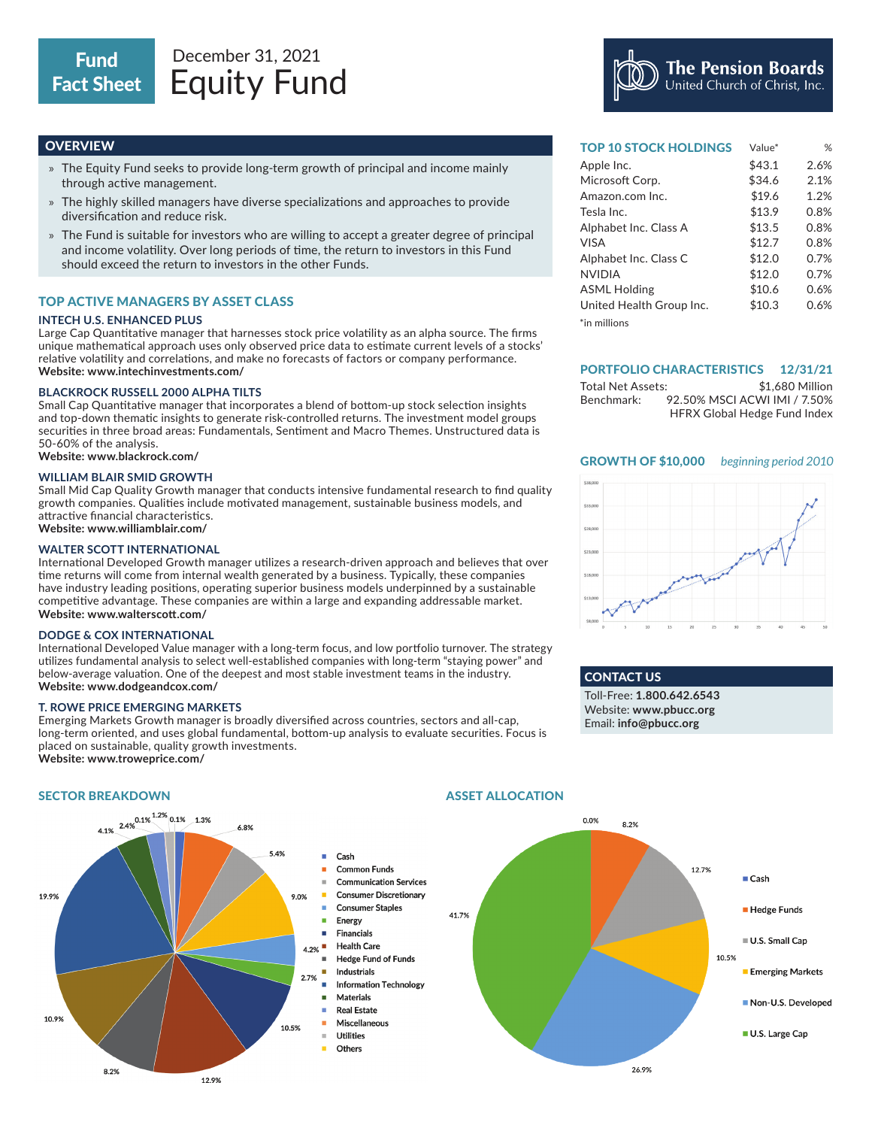- » The Equity Fund seeks to provide long-term growth of principal and income mainly through active management.
- » The highly skilled managers have diverse specializations and approaches to provide diversification and reduce risk.
- » The Fund is suitable for investors who are willing to accept a greater degree of principal and income volatility. Over long periods of time, the return to investors in this Fund should exceed the return to investors in the other Funds.

# TOP ACTIVE MANAGERS BY ASSET CLASS

#### **INTECH U.S. ENHANCED PLUS**

Large Cap Quantitative manager that harnesses stock price volatility as an alpha source. The firms unique mathematical approach uses only observed price data to estimate current levels of a stocks' relative volatility and correlations, and make no forecasts of factors or company performance. **Website: www.intechinvestments.com/**

### **BLACKROCK RUSSELL 2000 ALPHA TILTS**

Small Cap Quantitative manager that incorporates a blend of bottom-up stock selection insights and top-down thematic insights to generate risk-controlled returns. The investment model groups securities in three broad areas: Fundamentals, Sentiment and Macro Themes. Unstructured data is 50-60% of the analysis.

**Website: www.blackrock.com/**

## **WILLIAM BLAIR SMID GROWTH**

Small Mid Cap Quality Growth manager that conducts intensive fundamental research to find quality growth companies. Qualities include motivated management, sustainable business models, and attractive financial characteristics. **Website: www.williamblair.com/**

### **WALTER SCOTT INTERNATIONAL**

International Developed Growth manager utilizes a research-driven approach and believes that over time returns will come from internal wealth generated by a business. Typically, these companies have industry leading positions, operating superior business models underpinned by a sustainable competitive advantage. These companies are within a large and expanding addressable market. **Website: www.walterscott.com/**

#### **DODGE & COX INTERNATIONAL**

International Developed Value manager with a long-term focus, and low portfolio turnover. The strategy utilizes fundamental analysis to select well-established companies with long-term "staying power" and below-average valuation. One of the deepest and most stable investment teams in the industry. **Website: www.dodgeandcox.com/**

### **T. ROWE PRICE EMERGING MARKETS**

Emerging Markets Growth manager is broadly diversified across countries, sectors and all-cap, long-term oriented, and uses global fundamental, bottom-up analysis to evaluate securities. Focus is placed on sustainable, quality growth investments. **Website: www.troweprice.com/**



**OVERVIEW And the contract of the contract of the contract of the contract of the contract of the contract of the contract of the contract of the contract of the contract of the contract of the contract of the contract of** Apple Inc. \$43.1 2.6% Microsoft Corp. \$34.6 2.1% Amazon.com Inc. \$19.6 1.2% Tesla Inc. \$13.9 0.8%  $A$ lehabet Inc.  $C1$ Value\*

The Pension Boards<br>United Church of Christ, Inc.

| Alphabet Inc. Class A    | <b>DIO.J</b> | U.070 |
|--------------------------|--------------|-------|
| VISA                     | \$12.7       | 0.8%  |
| Alphabet Inc. Class C    | \$12.0       | 0.7%  |
| <b>NVIDIA</b>            | \$12.0       | 0.7%  |
| <b>ASML Holding</b>      | \$10.6       | 0.6%  |
| United Health Group Inc. | \$10.3       | 0.6%  |
| $^*$ in millions         |              |       |

#### PORTFOLIO CHARACTERISTICS 12/31/21

| Total Net Assets: | \$1,680 Million                     |
|-------------------|-------------------------------------|
| Benchmark:        | 92.50% MSCI ACWI IMI / 7.50%        |
|                   | <b>HFRX Global Hedge Fund Index</b> |





CONTACT US Toll-Free: **1.800.642.6543** Website: **www.pbucc.org** Email: **info@pbucc.org**